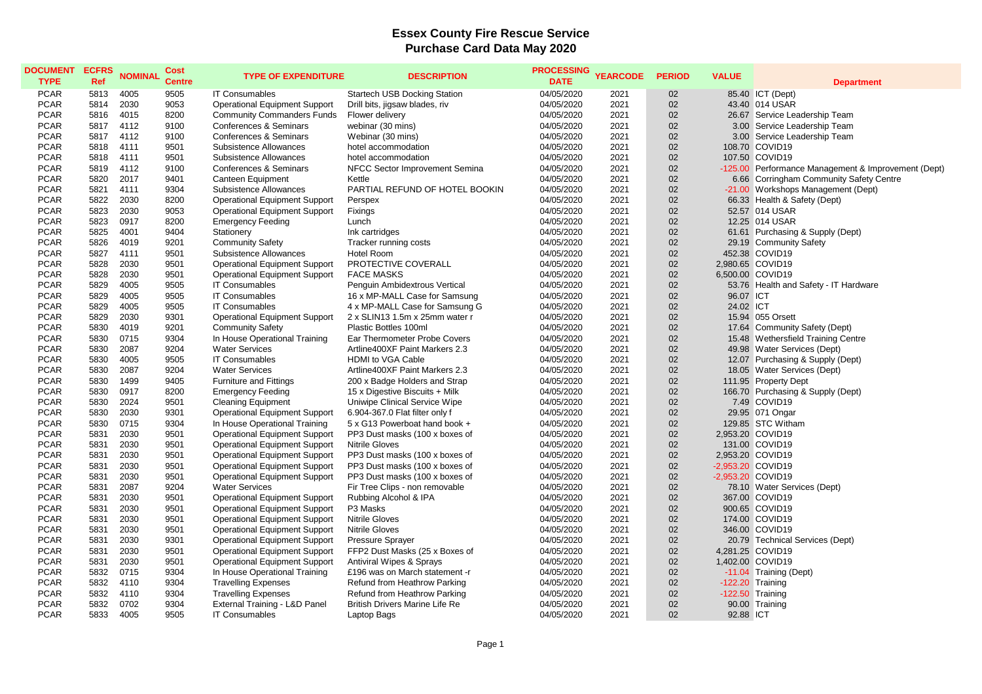## **Essex County Fire Rescue Service Purchase Card Data May 2020**

| <b>DOCUMENT</b><br><b>TYPE</b> | <b>ECFRS</b><br>Ref | <b>NOMINAL</b> | <b>Cost</b><br><b>Centre</b> | <b>TYPE OF EXPENDITURE</b>           | <b>DESCRIPTION</b>                    | PROCESSING YEARCODE<br><b>DATE</b> |      | <b>PERIOD</b> | <b>VALUE</b> | <b>Department</b>                                   |
|--------------------------------|---------------------|----------------|------------------------------|--------------------------------------|---------------------------------------|------------------------------------|------|---------------|--------------|-----------------------------------------------------|
| <b>PCAR</b>                    | 5813                | 4005           | 9505                         | <b>IT Consumables</b>                | <b>Startech USB Docking Station</b>   | 04/05/2020                         | 2021 | 02            |              | 85.40 ICT (Dept)                                    |
| <b>PCAR</b>                    | 5814                | 2030           | 9053                         | <b>Operational Equipment Support</b> | Drill bits, jigsaw blades, riv        | 04/05/2020                         | 2021 | 02            |              | 43.40 014 USAR                                      |
| <b>PCAR</b>                    | 5816                | 4015           | 8200                         | <b>Community Commanders Funds</b>    | Flower delivery                       | 04/05/2020                         | 2021 | 02            |              | 26.67 Service Leadership Team                       |
| <b>PCAR</b>                    | 5817                | 4112           | 9100                         | Conferences & Seminars               | webinar (30 mins)                     | 04/05/2020                         | 2021 | 02            |              | 3.00 Service Leadership Team                        |
| <b>PCAR</b>                    | 5817                | 4112           | 9100                         | Conferences & Seminars               | Webinar (30 mins)                     | 04/05/2020                         | 2021 | 02            |              | 3.00 Service Leadership Team                        |
| <b>PCAR</b>                    | 5818                | 4111           | 9501                         | Subsistence Allowances               | hotel accommodation                   | 04/05/2020                         | 2021 | 02            |              | 108.70 COVID19                                      |
| <b>PCAR</b>                    | 5818                | 4111           | 9501                         | Subsistence Allowances               | hotel accommodation                   | 04/05/2020                         | 2021 | 02            |              | 107.50 COVID19                                      |
| <b>PCAR</b>                    | 5819                | 4112           | 9100                         | Conferences & Seminars               | NFCC Sector Improvement Semina        | 04/05/2020                         | 2021 | 02            |              | -125.00 Performance Management & Improvement (Dept) |
| <b>PCAR</b>                    | 5820                | 2017           | 9401                         | <b>Canteen Equipment</b>             | Kettle                                | 04/05/2020                         | 2021 | 02            |              | 6.66 Corringham Community Safety Centre             |
| <b>PCAR</b>                    | 5821                | 4111           | 9304                         | Subsistence Allowances               | PARTIAL REFUND OF HOTEL BOOKIN        | 04/05/2020                         | 2021 | 02            |              | -21.00 Workshops Management (Dept)                  |
| <b>PCAR</b>                    | 5822                | 2030           | 8200                         | Operational Equipment Support        | Perspex                               | 04/05/2020                         | 2021 | 02            |              | 66.33 Health & Safety (Dept)                        |
| <b>PCAR</b>                    | 5823                | 2030           | 9053                         | <b>Operational Equipment Support</b> | Fixings                               | 04/05/2020                         | 2021 | 02            |              | 52.57 014 USAR                                      |
| <b>PCAR</b>                    | 5823                | 0917           | 8200                         | <b>Emergency Feeding</b>             | Lunch                                 | 04/05/2020                         | 2021 | 02            |              | 12.25 014 USAR                                      |
| <b>PCAR</b>                    | 5825                | 4001           | 9404                         | Stationery                           | Ink cartridges                        | 04/05/2020                         | 2021 | 02            |              | 61.61 Purchasing & Supply (Dept)                    |
| <b>PCAR</b>                    | 5826                | 4019           | 9201                         | <b>Community Safety</b>              | Tracker running costs                 | 04/05/2020                         | 2021 | 02            |              | 29.19 Community Safety                              |
| <b>PCAR</b>                    | 5827                | 4111           | 9501                         | Subsistence Allowances               | <b>Hotel Room</b>                     | 04/05/2020                         | 2021 | 02            |              | 452.38 COVID19                                      |
| <b>PCAR</b>                    | 5828                | 2030           | 9501                         | <b>Operational Equipment Support</b> | PROTECTIVE COVERALL                   | 04/05/2020                         | 2021 | 02            |              | 2,980.65 COVID19                                    |
| <b>PCAR</b>                    | 5828                | 2030           | 9501                         | <b>Operational Equipment Support</b> | <b>FACE MASKS</b>                     | 04/05/2020                         | 2021 | 02            |              | 6,500.00 COVID19                                    |
| <b>PCAR</b>                    | 5829                | 4005           | 9505                         | <b>IT Consumables</b>                | Penguin Ambidextrous Vertical         | 04/05/2020                         | 2021 | 02            |              | 53.76 Health and Safety - IT Hardware               |
| <b>PCAR</b>                    | 5829                | 4005           | 9505                         | <b>IT Consumables</b>                | 16 x MP-MALL Case for Samsung         | 04/05/2020                         | 2021 | 02            | 96.07 ICT    |                                                     |
| <b>PCAR</b>                    | 5829                | 4005           | 9505                         | <b>IT Consumables</b>                | 4 x MP-MALL Case for Samsung G        | 04/05/2020                         | 2021 | 02            | 24.02 ICT    |                                                     |
| <b>PCAR</b>                    | 5829                | 2030           | 9301                         | <b>Operational Equipment Support</b> | 2 x SLIN13 1.5m x 25mm water r        | 04/05/2020                         | 2021 | 02            |              | 15.94 055 Orsett                                    |
| <b>PCAR</b>                    | 5830                | 4019           | 9201                         | <b>Community Safety</b>              | Plastic Bottles 100ml                 | 04/05/2020                         | 2021 | 02            |              | 17.64 Community Safety (Dept)                       |
| <b>PCAR</b>                    | 5830                | 0715           | 9304                         | In House Operational Training        | Ear Thermometer Probe Covers          | 04/05/2020                         | 2021 | 02            |              | 15.48 Wethersfield Training Centre                  |
| <b>PCAR</b>                    | 5830                | 2087           | 9204                         | <b>Water Services</b>                | Artline400XF Paint Markers 2.3        | 04/05/2020                         | 2021 | 02            |              | 49.98 Water Services (Dept)                         |
| <b>PCAR</b>                    | 5830                | 4005           | 9505                         | <b>IT Consumables</b>                | HDMI to VGA Cable                     | 04/05/2020                         | 2021 | 02            |              | 12.07 Purchasing & Supply (Dept)                    |
| <b>PCAR</b>                    | 5830                | 2087           | 9204                         | <b>Water Services</b>                | Artline400XF Paint Markers 2.3        | 04/05/2020                         | 2021 | 02            |              | 18.05 Water Services (Dept)                         |
| <b>PCAR</b>                    | 5830                | 1499           | 9405                         | <b>Furniture and Fittings</b>        | 200 x Badge Holders and Strap         | 04/05/2020                         | 2021 | 02            |              | 111.95 Property Dept                                |
| <b>PCAR</b>                    | 5830                | 0917           | 8200                         | <b>Emergency Feeding</b>             | 15 x Digestive Biscuits + Milk        | 04/05/2020                         | 2021 | 02            |              | 166.70 Purchasing & Supply (Dept)                   |
| <b>PCAR</b>                    | 5830                | 2024           | 9501                         | <b>Cleaning Equipment</b>            | Uniwipe Clinical Service Wipe         | 04/05/2020                         | 2021 | 02            |              | 7.49 COVID19                                        |
| <b>PCAR</b>                    | 5830                | 2030           | 9301                         | <b>Operational Equipment Support</b> | 6.904-367.0 Flat filter only f        | 04/05/2020                         | 2021 | 02            |              | 29.95 071 Ongar                                     |
| <b>PCAR</b>                    | 5830                | 0715           | 9304                         | In House Operational Training        | 5 x G13 Powerboat hand book +         | 04/05/2020                         | 2021 | 02            |              | 129.85 STC Witham                                   |
| <b>PCAR</b>                    | 5831                | 2030           | 9501                         | <b>Operational Equipment Support</b> | PP3 Dust masks (100 x boxes of        | 04/05/2020                         | 2021 | 02            |              | 2,953.20 COVID19                                    |
| <b>PCAR</b>                    | 5831                | 2030           | 9501                         | <b>Operational Equipment Support</b> | <b>Nitrile Gloves</b>                 | 04/05/2020                         | 2021 | 02            |              | 131.00 COVID19                                      |
| <b>PCAR</b>                    | 5831                | 2030           | 9501                         | <b>Operational Equipment Support</b> | PP3 Dust masks (100 x boxes of        | 04/05/2020                         | 2021 | 02            |              | 2,953.20 COVID19                                    |
| <b>PCAR</b>                    | 5831                | 2030           | 9501                         | <b>Operational Equipment Support</b> | PP3 Dust masks (100 x boxes of        | 04/05/2020                         | 2021 | 02            |              | -2,953.20 COVID19                                   |
| <b>PCAR</b>                    | 5831                | 2030           | 9501                         | <b>Operational Equipment Support</b> | PP3 Dust masks (100 x boxes of        | 04/05/2020                         | 2021 | 02            |              | -2,953.20 COVID19                                   |
| <b>PCAR</b>                    | 5831                | 2087           | 9204                         | <b>Water Services</b>                | Fir Tree Clips - non removable        | 04/05/2020                         | 2021 | 02            |              | 78.10 Water Services (Dept)                         |
| <b>PCAR</b>                    | 5831                | 2030           | 9501                         | <b>Operational Equipment Support</b> | Rubbing Alcohol & IPA                 | 04/05/2020                         | 2021 | 02            |              | 367.00 COVID19                                      |
| <b>PCAR</b>                    | 5831                | 2030           | 9501                         | <b>Operational Equipment Support</b> | P3 Masks                              | 04/05/2020                         | 2021 | 02            |              | 900.65 COVID19                                      |
| <b>PCAR</b>                    | 5831                | 2030           | 9501                         | <b>Operational Equipment Support</b> | <b>Nitrile Gloves</b>                 | 04/05/2020                         | 2021 | 02            |              | 174.00 COVID19                                      |
| <b>PCAR</b>                    | 5831                | 2030           | 9501                         | <b>Operational Equipment Support</b> | <b>Nitrile Gloves</b>                 | 04/05/2020                         | 2021 | 02            |              | 346.00 COVID19                                      |
| <b>PCAR</b>                    | 5831                | 2030           | 9301                         | <b>Operational Equipment Support</b> | <b>Pressure Sprayer</b>               | 04/05/2020                         | 2021 | 02            |              | 20.79 Technical Services (Dept)                     |
| <b>PCAR</b>                    | 5831                | 2030           | 9501                         | <b>Operational Equipment Support</b> | FFP2 Dust Masks (25 x Boxes of        | 04/05/2020                         | 2021 | 02            |              | 4,281.25 COVID19                                    |
| <b>PCAR</b>                    | 5831                | 2030           | 9501                         | <b>Operational Equipment Support</b> | <b>Antiviral Wipes &amp; Sprays</b>   | 04/05/2020                         | 2021 | 02            |              | 1,402.00 COVID19                                    |
| <b>PCAR</b>                    | 5832                | 0715           | 9304                         | In House Operational Training        | £196 was on March statement -r        | 04/05/2020                         | 2021 | 02            |              | -11.04 Training (Dept)                              |
| <b>PCAR</b>                    | 5832                | 4110           | 9304                         | <b>Travelling Expenses</b>           | Refund from Heathrow Parking          | 04/05/2020                         | 2021 | 02            |              | $-122.20$ Training                                  |
| <b>PCAR</b>                    | 5832                | 4110           | 9304                         | <b>Travelling Expenses</b>           | Refund from Heathrow Parking          | 04/05/2020                         | 2021 | 02            |              | $-122.50$ Training                                  |
| <b>PCAR</b>                    | 5832                | 0702           | 9304                         | External Training - L&D Panel        | <b>British Drivers Marine Life Re</b> | 04/05/2020                         | 2021 | 02            |              | 90.00 Training                                      |
| <b>PCAR</b>                    | 5833                | 4005           | 9505                         | <b>IT Consumables</b>                | Laptop Bags                           | 04/05/2020                         | 2021 | 02            | 92.88 ICT    |                                                     |
|                                |                     |                |                              |                                      |                                       |                                    |      |               |              |                                                     |